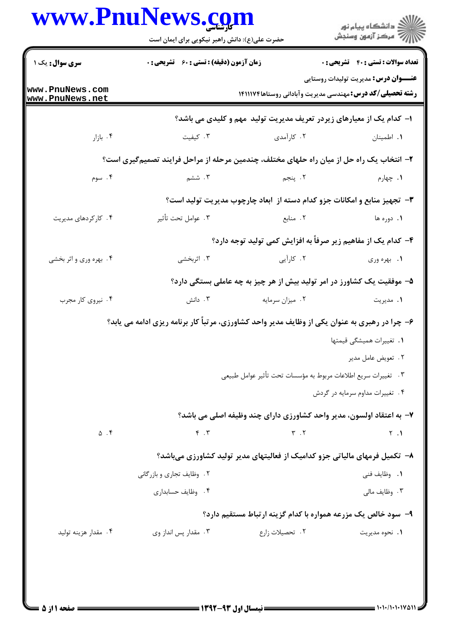## www.PnuNews.com

|                                    | حضرت علی(ع): دانش راهبر نیکویی برای ایمان است                                                  |                                                                             | ≦ دانشڪاه پيام نور<br>√ مرڪز آزمون وسنڊش    |
|------------------------------------|------------------------------------------------------------------------------------------------|-----------------------------------------------------------------------------|---------------------------------------------|
| <b>سری سوال :</b> یک ۱             | <b>زمان آزمون (دقیقه) : تستی : 60 ٪ تشریحی : 0</b>                                             |                                                                             | <b>تعداد سوالات : تستی : 40 قشریحی : 0</b>  |
| www.PnuNews.com<br>www.PnuNews.net |                                                                                                | <b>رشته تحصیلی/کد درس:</b> مهندسی مدیریت وآبادانی روستاها۱۴۱۱۱۷۴            | <b>عنـــوان درس:</b> مدیریت تولیدات روستایی |
|                                    |                                                                                                | ا– کدام یک از معیارهای زیردر تعریف مدیریت تولید ًمهم و کلیدی می باشد؟       |                                             |
| ۰۴ بازار                           | ۰۳ کیفیت                                                                                       | ۰۲ کارآمدی                                                                  | ٠١. اطمينان                                 |
|                                    | ۲– انتخاب یک راه حل از میان راه حلهای مختلف، چندمین مرحله از مراحل فرایند تصمیمگیری است؟       |                                                                             |                                             |
| ۰۴ سوم                             | ۰۳ ششم                                                                                         | ۲. پنجم                                                                     | ۰۱ چهارم                                    |
|                                    |                                                                                                | ۳- تجهیز منابع و امکانات جزو کدام دسته از آبعاد چارچوب مدیریت تولید است؟    |                                             |
| ۰۴ کارکردهای مدیریت                | ۰۳ عوامل تحت تأثير                                                                             | ۰۲ منابع                                                                    | ۱. دوره ها                                  |
|                                    |                                                                                                | ۴- کدام یک از مفاهیم زیر صرفاً به افزایش کمی تولید توجه دارد؟               |                                             |
| ۰۴ بهره وری و اثر بخشی             | ۰۳ اثربخشی                                                                                     | ۲. کارآیی                                                                   | ۰۱ بهره وري                                 |
|                                    |                                                                                                | ۵– موفقیت یک کشاورز در امر تولید بیش از هر چیز به چه عاملی بستگی دارد؟      |                                             |
| ۰۴ نیروی کار مجرب                  | ۰۳ دانش                                                                                        | ۰۲ میزان سرمایه                                                             | ۰۱ مدیریت                                   |
|                                    | ۶- چرا در رهبری به عنوان یکی از وظایف مدیر واحد کشاورزی، مرتباً کار برنامه ریزی ادامه می یابد؟ |                                                                             |                                             |
|                                    |                                                                                                |                                                                             | ۰۱ تغییرات همیشگی قیمتها                    |
|                                    |                                                                                                |                                                                             | ٢. تعويض عامل مدير                          |
|                                    |                                                                                                | °.     تغييرات سريع اطلاعات مربوط به مؤسسات تحت تأثير عوامل طبيعي           |                                             |
|                                    |                                                                                                |                                                                             | ۴. تغییرات مداوم سرمایه در گردش             |
|                                    |                                                                                                | ۷– به اعتقاد اولسون، مدیر واحد کشاورزی دارای چند وظیفه اصلی می باشد؟        |                                             |
| $\Delta$ . ۴                       | $F \cdot T$                                                                                    | $\tau$ . $\tau$                                                             | $\gamma$ .                                  |
|                                    |                                                                                                | ۸–  تکمیل فرمهای مالیاتی جزو کدامیک از فعالیتهای مدیر تولید کشاورزی میباشد؟ |                                             |
|                                    | ۲. وظایف تجاری و بازرگانی                                                                      |                                                                             | <b>1</b> . وظايف فني                        |
|                                    | ۰۴ وظایف حسابداری                                                                              |                                                                             | ۰۳ وظایف مالی                               |
|                                    |                                                                                                | ۹- سود خالص یک مزرعه همواره با کدام گزینه ارتباط مستقیم دارد؟               |                                             |
| ۰۴ مقدار هزينه توليد               | ۰۳ مقدار پس انداز وی                                                                           | ۲. تحصیلات زارع                                                             | ٠١. نحوه مديريت                             |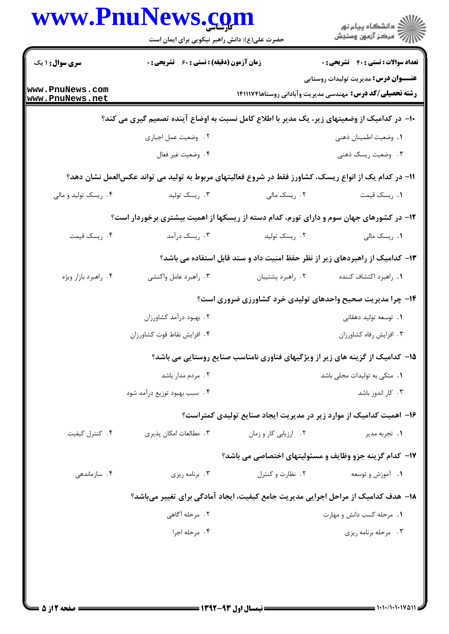|                                    | www.PnuNews.com<br>حضرت علی(ع): دانش راهبر نیکویی برای ایمان است |                       | ڪ دانشڪاه پيا <sub>م</sub> نور<br><mark>ر</mark> ⊽ مرڪز آزمون وسنڊش                                             |
|------------------------------------|------------------------------------------------------------------|-----------------------|-----------------------------------------------------------------------------------------------------------------|
| <b>سری سوال : ۱ یک</b>             | زمان آزمون (دقیقه) : تستی : 60 ٪ تشریحی : 0                      |                       | <b>تعداد سوالات : تستي : 40 - تشريحي : 0</b>                                                                    |
| www.PnuNews.com<br>www.PnuNews.net |                                                                  |                       | <b>عنـــوان درس:</b> مدیریت تولیدات روستایی<br><b>رشته تحصیلی/کد درس:</b> مهندسی مدیریت وآبادانی روستاها۱۴۱۱۱۷۴ |
|                                    |                                                                  |                       | ∙ا− در کدامیک از وضعیتهای زیر، یک مدیر با اطلاع کامل نسبت به اوضاع آینده تصمیم گیری می کند؟                     |
|                                    | ٢. وضعيت عمل اجباري                                              |                       | ٠١. وضعيت اطمينان ذهني                                                                                          |
|                                    | ۰۴ وضعيت غير فعال                                                |                       | ۰۳ وضعیت ریسک ذهنی                                                                                              |
|                                    |                                                                  |                       | 1۱– در کدام یک از انواع ریسک، کشاورز فقط در شروع فعالیتهای مربوط به تولید می تواند عکسالعمل نشان دهد؟           |
| ۰۴ ریسک تولید و مالی               | ۰۳ ريسک توليد                                                    | ۰۲ ریسک مالی          | ٠١. ريسک قيمت                                                                                                   |
|                                    |                                                                  |                       | ۱۲- در کشورهای جهان سوم و دارای تورم، کدام دسته از ریسکها از اهمیت بیشتری برخوردار است؟                         |
| ۰۴ ريسک قيمت                       | ۰۳ ریسک درآمد                                                    | ۰۲ ریسک تولید         | ۰۱ ریسک مالی                                                                                                    |
|                                    |                                                                  |                       | ۱۳– کدامیک از راهبردهای زیر از نظر حفظ امنیت داد و ستد قابل استفاده می باشد؟                                    |
| ۰۴ راهبرد بازار ويژه               | ۰۳ راهبرد عامل واکنشی                                            | ۰۲ راهبرد پشتيبان     | ٠١. راهبرد اكتشاف كننده                                                                                         |
|                                    | ۱۴- چرا مدیریت صحیح واحدهای تولیدی خرد کشاورزی ضروری است؟        |                       |                                                                                                                 |
|                                    | ۰۲ بهبود درآمد کشاورزان                                          |                       | ۰۱ توسعه تولید دهقانی                                                                                           |
|                                    | ۴. افزایش نقاط قوت کشاورزان                                      |                       | ٠٣ افزايش رفاه كشاورزان                                                                                         |
|                                    |                                                                  |                       | ۱۵– کدامیک از گزینه های زیر از ویژگیهای فناوری نامناسب صنایع روستایی می باشد؟                                   |
|                                    | ۰۲ مردم مدار باشد                                                |                       | ٠١. متكى به توليدات محلى باشد                                                                                   |
|                                    | ۴ . - سبب بهبود توزيع درآمد شود                                  |                       | ۰۳ کار اندوز باشد                                                                                               |
|                                    |                                                                  |                       | ۱۶– اهمیت کدامیک از موارد زیر در مدیریت ایجاد صنایع تولیدی کمتراست؟                                             |
| ۰۴ کنترل کیفیت                     | ۰۳ مطالعات امکان پذیری                                           | ٠٢ ارزيابي كار و زمان | <b>۱.</b> تجربه مدير                                                                                            |
|                                    |                                                                  |                       | ۱۷- کدام گزینه جزو وظایف و مسئولیتهای اختصاصی می باشد؟                                                          |
| ۰۴ سازماندهی                       | ۰۳ برنامه ریزی                                                   | ۰۲ نظارت و کنترل      | ۰۱ آموزش و توسعه                                                                                                |
|                                    |                                                                  |                       | ۱۸– هدف کدامیک از مراحل اجرایی مدیریت جامع کیفیت، ایجاد آمادگی برای تغییر میباشد؟                               |
|                                    | ٢. مرحله أكَاهي                                                  |                       | ۰۱ مرحله کسب دانش و مهارت                                                                                       |
|                                    | ۰۴ مرحله اجرا                                                    |                       | ۰۳ مرحله برنامه ريزي                                                                                            |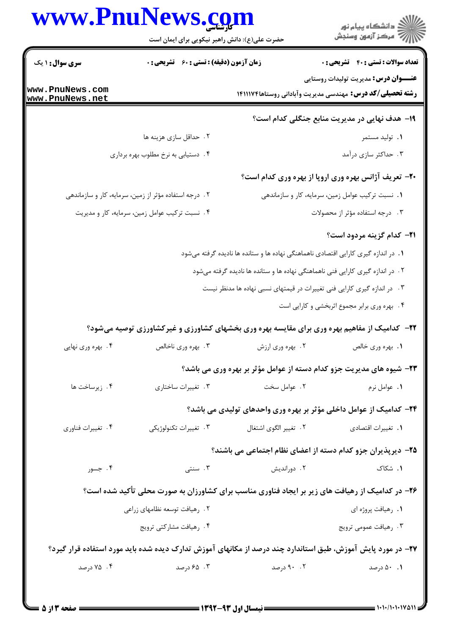|                                    | حضرت علی(ع): دانش راهبر نیکویی برای ایمان است         |                                                                                    |                                                                                                                 |
|------------------------------------|-------------------------------------------------------|------------------------------------------------------------------------------------|-----------------------------------------------------------------------------------------------------------------|
| <b>سری سوال : ۱ یک</b>             | زمان آزمون (دقیقه) : تستی : 60 ٪ تشریحی : 0           |                                                                                    | <b>تعداد سوالات : تستی : 40 - تشریحی : 0</b>                                                                    |
| www.PnuNews.com<br>www.PnuNews.net |                                                       |                                                                                    | <b>عنـــوان درس:</b> مدیریت تولیدات روستایی<br><b>رشته تحصیلی/کد درس:</b> مهندسی مدیریت وآبادانی روستاها۱۴۱۱۱۷۴ |
|                                    |                                                       |                                                                                    | ۱۹- هدف نهایی در مدیریت منابع جنگلی کدام است؟                                                                   |
|                                    | ۲. حداقل سازی هزینه ها                                |                                                                                    | ۰۱ تولید مستمر                                                                                                  |
|                                    | ۰۴ دستیابی به نرخ مطلوب بهره برداری                   |                                                                                    | ۰۳ حداکثر سازی درآمد                                                                                            |
|                                    |                                                       |                                                                                    | ۲۰– تعریف آژانس بهره وری اروپا از بهره وری کدام است؟                                                            |
|                                    | ۰۲ درجه استفاده مؤثر از زمین، سرمایه، کار و سازماندهی |                                                                                    | ۰۱ نسبت ترکیب عوامل زمین، سرمایه، کار و سازماندهی                                                               |
|                                    | ۰۴ نسبت ترکیب عوامل زمین، سرمایه، کار و مدیریت        |                                                                                    | ۰۳ درجه استفاده مؤثر از محصولات                                                                                 |
|                                    |                                                       |                                                                                    | <b>٣١- كدام گزينه مردود است؟</b>                                                                                |
|                                    |                                                       | ۱. در اندازه گیری کارایی اقتصادی ناهماهنگی نهاده ها و ستانده ها نادیده گرفته میشود |                                                                                                                 |
|                                    |                                                       | ۲ . در اندازه گیری کارایی فنی ناهماهنگی نهاده ها و ستانده ها نادیده گرفته میشود    |                                                                                                                 |
|                                    |                                                       | ۰۳ در اندازه گیری کارایی فنی تغییرات در قیمتهای نسبی نهاده ها مدنظر نیست           |                                                                                                                 |
|                                    |                                                       |                                                                                    | ۰۴ بهره وری برابر مجموع اثربخشی و کارایی است                                                                    |
|                                    |                                                       |                                                                                    | ۲۲- کدامیک از مفاهیم بهره وری برای مقایسه بهره وری بخشهای کشاورزی و غیرکشاورزی توصیه میشود؟                     |
| ۰۴ بهره وري نهايي                  | ۰۳ بهره وری ناخالص                                    | ۰۲ بهره وری ارزش                                                                   | ۰۱ بهره وری خالص                                                                                                |
|                                    |                                                       |                                                                                    | ۲۳- شیوه های مدیریت جزو کدام دسته از عوامل مؤثر بر بهره وری می باشد؟                                            |
| ۰۴ زیرساخت ها                      | ۰۳ تغییرات ساختاری                                    | ۰۲ عوامل سخت                                                                       | ٠١. عوامل نرم                                                                                                   |
|                                    |                                                       |                                                                                    | ۲۴- کدامیک از عوامل داخلی مؤثر بر بهره وری واحدهای تولیدی می باشد؟                                              |
| ۰۴ تغییرات فناوری                  | ۰۳ تغییرات تکنولوژیکی                                 | ٢. تغيير الگوى اشتغال                                                              | 1. تغييرات اقتصادى                                                                                              |
|                                    |                                                       |                                                                                    | ۲۵- دیرپذیران جزو کدام دسته از اعضای نظام اجتماعی می باشند؟                                                     |
| ۰۴ جسور                            | ۰۳ سنتی                                               | ۰۲ دوراندیش                                                                        | ۰۱ شکاک                                                                                                         |
|                                    |                                                       |                                                                                    | ۲۶- در کدامیک از رهیافت های زیر بر ایجاد فناوری مناسب برای کشاورزان به صورت محلی تأکید شده است؟                 |
|                                    | ۲. رهيافت توسعه نظامهاي زراعي                         |                                                                                    | ٠١. رهيافت پروژه اي                                                                                             |
|                                    | ۰۴ رهیافت مشارکتی ترویج                               |                                                                                    | ۰۳ رهيافت عمومي ترويج                                                                                           |
|                                    |                                                       |                                                                                    | ۲۷– در مورد پایش آموزش، طبق استاندارد چند درصد از مکانهای آموزش تدارک دیده شده باید مورد استفاده قرار گیرد؟     |
|                                    |                                                       |                                                                                    |                                                                                                                 |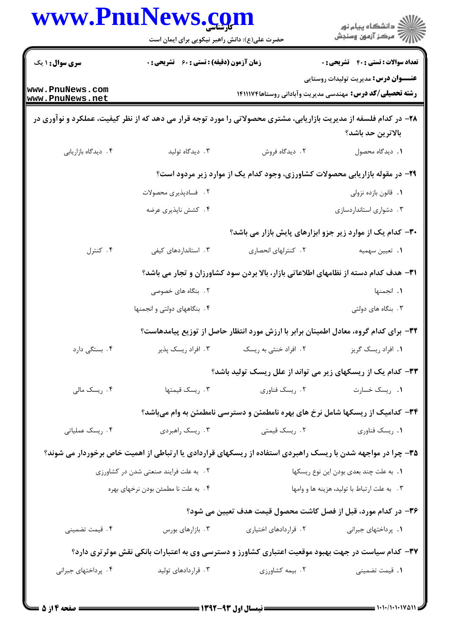|                                                                                                                    | حضرت علی(ع): دانش راهبر نیکویی برای ایمان است                                       |                                                                                                             | ڪ دانشڪاه پيام نور<br>۾ سرڪز آزمون وسنڊش                                                                        |
|--------------------------------------------------------------------------------------------------------------------|-------------------------------------------------------------------------------------|-------------------------------------------------------------------------------------------------------------|-----------------------------------------------------------------------------------------------------------------|
| سری سوال: ۱ یک                                                                                                     | <b>زمان آزمون (دقیقه) : تستی : 60 ٪ تشریحی : 0</b>                                  |                                                                                                             | <b>تعداد سوالات : تستي : 40 قشريحي : 0</b>                                                                      |
| www.PnuNews.com<br>www.PnuNews.net                                                                                 |                                                                                     |                                                                                                             | <b>عنـــوان درس:</b> مدیریت تولیدات روستایی<br><b>رشته تحصیلی/کد درس:</b> مهندسی مدیریت وآبادانی روستاها۱۴۱۱۱۷۴ |
| ۲۸- در کدام فلسفه از مدیریت بازاریابی، مشتری محصولاتی را مورد توجه قرار می دهد که از نظر کیفیت، عملکرد و نوآوری در |                                                                                     |                                                                                                             | بالاترين حد باشد؟                                                                                               |
| ۰۴ دیدگاه بازاریابی                                                                                                | ۰۳ دیدگاه تولید                                                                     | ۰۲ دیدگاه فروش                                                                                              | ٠١. ديدگاه محصول                                                                                                |
|                                                                                                                    |                                                                                     | ۲۹- در مقوله بازاریابی محصولات کشاورزی، وجود کدام یک از موارد زیر مردود است؟                                |                                                                                                                 |
|                                                                                                                    | ٢. فسادپذيري محصولات                                                                |                                                                                                             | ۰۱ قانون بازده نزولی                                                                                            |
|                                                                                                                    | ۰۴ کشش ناپذیری عرضه                                                                 |                                                                                                             | ۰۳ دشواری استانداردسازی                                                                                         |
|                                                                                                                    |                                                                                     |                                                                                                             | ۳۰– کدام یک از موارد زیر جزو ابزارهای پایش بازار می باشد؟                                                       |
| ۰۴ کنترل                                                                                                           | ۰۳ استانداردهای کیفی                                                                | ۰۲ کنترلهای انحصاری                                                                                         | 1. تعيين سهميه                                                                                                  |
|                                                                                                                    | ۳۱- هدف کدام دسته از نظامهای اطلاعاتی بازار، بالا بردن سود کشاورزان و تجار می باشد؟ |                                                                                                             |                                                                                                                 |
|                                                                                                                    | ۲. بنگاه های خصوصی                                                                  |                                                                                                             | ٠١. انجمنها                                                                                                     |
|                                                                                                                    | ۴. بنگاههای دولتی و انجمنها                                                         |                                                                                                             | ۰۳ بنگاه های دولتی                                                                                              |
|                                                                                                                    |                                                                                     | ۳۲– برای کدام گروه، معادل اطمینان برابر با ارزش مورد انتظار حاصل از توزیع پیامدهاست؟                        |                                                                                                                 |
| ۰۴ بستگی دارد                                                                                                      | ۰۳ افراد ریسک پذیر                                                                  | ۲. افراد خنثی به ریسک                                                                                       | ٠١. افراد ريسک گريز                                                                                             |
|                                                                                                                    |                                                                                     | ۳۳- کدام یک از ریسکهای زیر می تواند از علل ریسک تولید باشد؟                                                 |                                                                                                                 |
| ۰۴ ریسک مالی                                                                                                       | ۰۳ ريسک قيمتها                                                                      | ۰۲ ریسک فناوری                                                                                              | ٠١. ريسک خسارت                                                                                                  |
|                                                                                                                    |                                                                                     | ۳۴- کدامیک از ریسکها شامل نرخ های بهره نامطمئن و دسترسی نامطمئن به وام میباشد؟                              |                                                                                                                 |
| ۰۴ ریسک عملیاتی                                                                                                    | ۰۳ ریسک راهبردی                                                                     | ۰۲ ریسک قیمتی                                                                                               | ٠١. ريسک فناوري                                                                                                 |
|                                                                                                                    |                                                                                     | ۳۵- چرا در مواجهه شدن با ریسک راهبردی استفاده از ریسکهای قراردادی یا ارتباطی از اهمیت خاص برخوردار می شوند؟ |                                                                                                                 |
| ٢. به علت فرايند صنعتى شدن در كشاورزى                                                                              |                                                                                     |                                                                                                             | ٠١. به علت چند بعدى بودن اين نوع ريسكها                                                                         |
|                                                                                                                    | ۰۴ به علت نا مطمئن بودن نرخهای بهره                                                 |                                                                                                             | ٠٣ به علت ارتباط با توليد، هزينه ها و وامها                                                                     |
|                                                                                                                    |                                                                                     | ۳۶– در کدام مورد، قبل از فصل کاشت محصول قیمت هدف تعیین می شود؟                                              |                                                                                                                 |
| ۴. قیمت تضمینی                                                                                                     | ۰۳ بازارهای بورس                                                                    | ٢. قراردادهای اختیاری                                                                                       | ٠١. پرداختهای جبرانی                                                                                            |
|                                                                                                                    |                                                                                     | ۳۷– کدام سیاست در جهت بهبود موقعیت اعتباری کشاورز و دسترسی وی به اعتبارات بانکی نقش موثر تری دارد؟          |                                                                                                                 |
| ۰۴ پرداختهای جبرانی                                                                                                | ۰۳ قراردادهای تولید                                                                 | ۰۲ بیمه کشاورزی                                                                                             | ۰۱ قیمت تضمینی                                                                                                  |